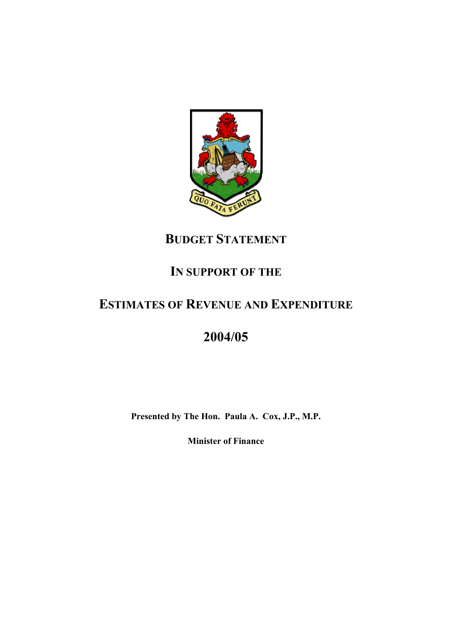

## **BUDGET STATEMENT**

## **IN SUPPORT OF THE**

## **ESTIMATES OF REVENUE AND EXPENDITURE**

# **2004/05**

**Presented by The Hon. Paula A. Cox, J.P., M.P.** 

**Minister of Finance**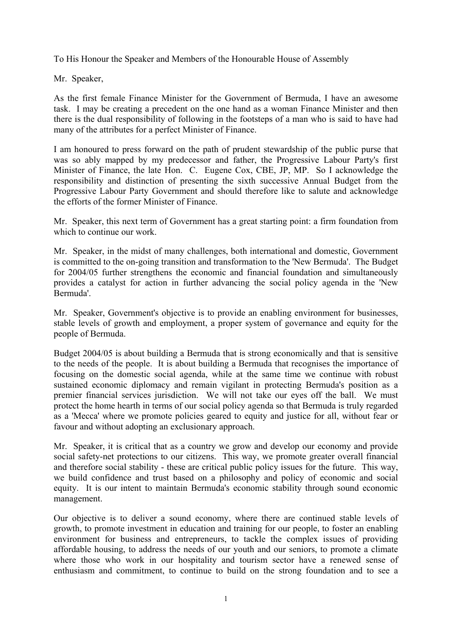To His Honour the Speaker and Members of the Honourable House of Assembly

Mr. Speaker,

As the first female Finance Minister for the Government of Bermuda, I have an awesome task. I may be creating a precedent on the one hand as a woman Finance Minister and then there is the dual responsibility of following in the footsteps of a man who is said to have had many of the attributes for a perfect Minister of Finance.

I am honoured to press forward on the path of prudent stewardship of the public purse that was so ably mapped by my predecessor and father, the Progressive Labour Party's first Minister of Finance, the late Hon. C. Eugene Cox, CBE, JP, MP. So I acknowledge the responsibility and distinction of presenting the sixth successive Annual Budget from the Progressive Labour Party Government and should therefore like to salute and acknowledge the efforts of the former Minister of Finance.

Mr. Speaker, this next term of Government has a great starting point: a firm foundation from which to continue our work.

Mr. Speaker, in the midst of many challenges, both international and domestic, Government is committed to the on-going transition and transformation to the 'New Bermuda'. The Budget for 2004/05 further strengthens the economic and financial foundation and simultaneously provides a catalyst for action in further advancing the social policy agenda in the 'New Bermuda'.

Mr. Speaker, Government's objective is to provide an enabling environment for businesses, stable levels of growth and employment, a proper system of governance and equity for the people of Bermuda.

Budget 2004/05 is about building a Bermuda that is strong economically and that is sensitive to the needs of the people. It is about building a Bermuda that recognises the importance of focusing on the domestic social agenda, while at the same time we continue with robust sustained economic diplomacy and remain vigilant in protecting Bermuda's position as a premier financial services jurisdiction. We will not take our eyes off the ball. We must protect the home hearth in terms of our social policy agenda so that Bermuda is truly regarded as a 'Mecca' where we promote policies geared to equity and justice for all, without fear or favour and without adopting an exclusionary approach.

Mr. Speaker, it is critical that as a country we grow and develop our economy and provide social safety-net protections to our citizens. This way, we promote greater overall financial and therefore social stability - these are critical public policy issues for the future. This way, we build confidence and trust based on a philosophy and policy of economic and social equity. It is our intent to maintain Bermuda's economic stability through sound economic management.

Our objective is to deliver a sound economy, where there are continued stable levels of growth, to promote investment in education and training for our people, to foster an enabling environment for business and entrepreneurs, to tackle the complex issues of providing affordable housing, to address the needs of our youth and our seniors, to promote a climate where those who work in our hospitality and tourism sector have a renewed sense of enthusiasm and commitment, to continue to build on the strong foundation and to see a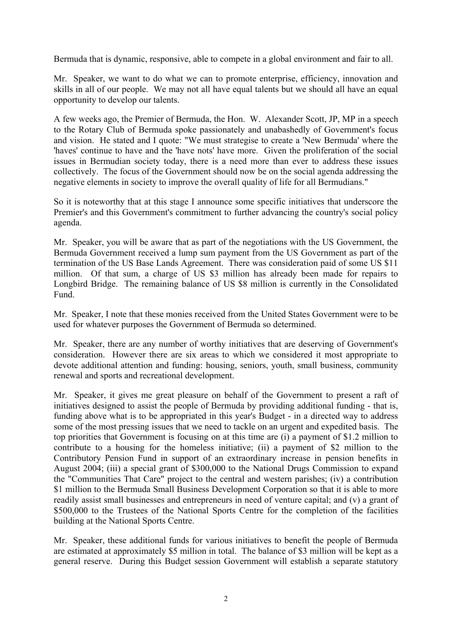Bermuda that is dynamic, responsive, able to compete in a global environment and fair to all.

Mr. Speaker, we want to do what we can to promote enterprise, efficiency, innovation and skills in all of our people. We may not all have equal talents but we should all have an equal opportunity to develop our talents.

A few weeks ago, the Premier of Bermuda, the Hon. W. Alexander Scott, JP, MP in a speech to the Rotary Club of Bermuda spoke passionately and unabashedly of Government's focus and vision. He stated and I quote: "We must strategise to create a 'New Bermuda' where the 'haves' continue to have and the 'have nots' have more. Given the proliferation of the social issues in Bermudian society today, there is a need more than ever to address these issues collectively. The focus of the Government should now be on the social agenda addressing the negative elements in society to improve the overall quality of life for all Bermudians."

So it is noteworthy that at this stage I announce some specific initiatives that underscore the Premier's and this Government's commitment to further advancing the country's social policy agenda.

Mr. Speaker, you will be aware that as part of the negotiations with the US Government, the Bermuda Government received a lump sum payment from the US Government as part of the termination of the US Base Lands Agreement. There was consideration paid of some US \$11 million. Of that sum, a charge of US \$3 million has already been made for repairs to Longbird Bridge. The remaining balance of US \$8 million is currently in the Consolidated Fund.

Mr. Speaker, I note that these monies received from the United States Government were to be used for whatever purposes the Government of Bermuda so determined.

Mr. Speaker, there are any number of worthy initiatives that are deserving of Government's consideration. However there are six areas to which we considered it most appropriate to devote additional attention and funding: housing, seniors, youth, small business, community renewal and sports and recreational development.

Mr. Speaker, it gives me great pleasure on behalf of the Government to present a raft of initiatives designed to assist the people of Bermuda by providing additional funding - that is, funding above what is to be appropriated in this year's Budget - in a directed way to address some of the most pressing issues that we need to tackle on an urgent and expedited basis. The top priorities that Government is focusing on at this time are (i) a payment of \$1.2 million to contribute to a housing for the homeless initiative; (ii) a payment of \$2 million to the Contributory Pension Fund in support of an extraordinary increase in pension benefits in August 2004; (iii) a special grant of \$300,000 to the National Drugs Commission to expand the "Communities That Care" project to the central and western parishes; (iv) a contribution \$1 million to the Bermuda Small Business Development Corporation so that it is able to more readily assist small businesses and entrepreneurs in need of venture capital; and (v) a grant of \$500,000 to the Trustees of the National Sports Centre for the completion of the facilities building at the National Sports Centre.

Mr. Speaker, these additional funds for various initiatives to benefit the people of Bermuda are estimated at approximately \$5 million in total. The balance of \$3 million will be kept as a general reserve. During this Budget session Government will establish a separate statutory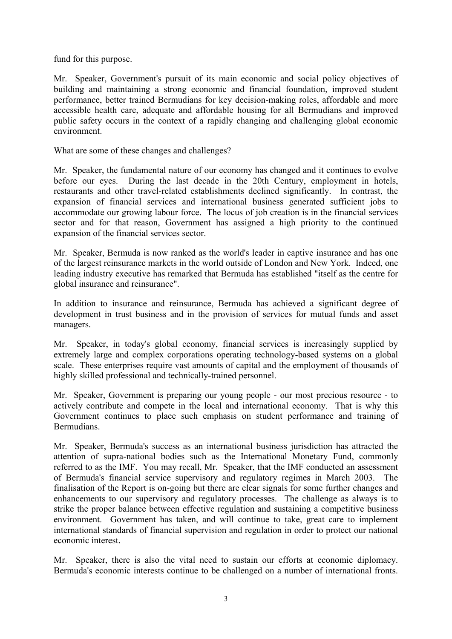fund for this purpose.

Mr. Speaker, Government's pursuit of its main economic and social policy objectives of building and maintaining a strong economic and financial foundation, improved student performance, better trained Bermudians for key decision-making roles, affordable and more accessible health care, adequate and affordable housing for all Bermudians and improved public safety occurs in the context of a rapidly changing and challenging global economic environment.

What are some of these changes and challenges?

Mr. Speaker, the fundamental nature of our economy has changed and it continues to evolve before our eyes. During the last decade in the 20th Century, employment in hotels, restaurants and other travel-related establishments declined significantly. In contrast, the expansion of financial services and international business generated sufficient jobs to accommodate our growing labour force. The locus of job creation is in the financial services sector and for that reason, Government has assigned a high priority to the continued expansion of the financial services sector.

Mr. Speaker, Bermuda is now ranked as the world's leader in captive insurance and has one of the largest reinsurance markets in the world outside of London and New York. Indeed, one leading industry executive has remarked that Bermuda has established "itself as the centre for global insurance and reinsurance".

In addition to insurance and reinsurance, Bermuda has achieved a significant degree of development in trust business and in the provision of services for mutual funds and asset managers.

Mr. Speaker, in today's global economy, financial services is increasingly supplied by extremely large and complex corporations operating technology-based systems on a global scale. These enterprises require vast amounts of capital and the employment of thousands of highly skilled professional and technically-trained personnel.

Mr. Speaker, Government is preparing our young people - our most precious resource - to actively contribute and compete in the local and international economy. That is why this Government continues to place such emphasis on student performance and training of **Bermudians** 

Mr. Speaker, Bermuda's success as an international business jurisdiction has attracted the attention of supra-national bodies such as the International Monetary Fund, commonly referred to as the IMF. You may recall, Mr. Speaker, that the IMF conducted an assessment of Bermuda's financial service supervisory and regulatory regimes in March 2003. The finalisation of the Report is on-going but there are clear signals for some further changes and enhancements to our supervisory and regulatory processes. The challenge as always is to strike the proper balance between effective regulation and sustaining a competitive business environment. Government has taken, and will continue to take, great care to implement international standards of financial supervision and regulation in order to protect our national economic interest.

Mr. Speaker, there is also the vital need to sustain our efforts at economic diplomacy. Bermuda's economic interests continue to be challenged on a number of international fronts.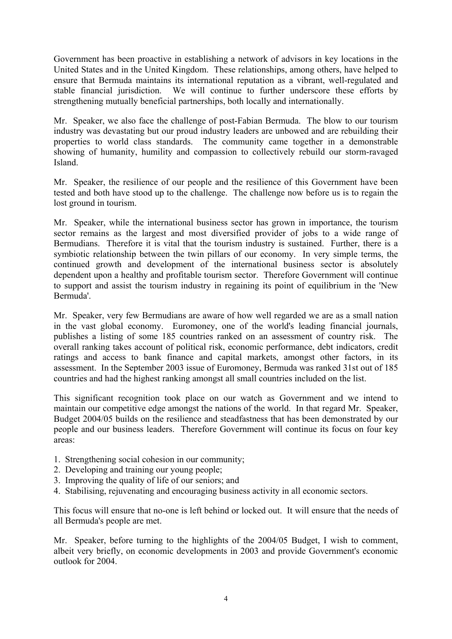Government has been proactive in establishing a network of advisors in key locations in the United States and in the United Kingdom. These relationships, among others, have helped to ensure that Bermuda maintains its international reputation as a vibrant, well-regulated and stable financial jurisdiction. We will continue to further underscore these efforts by strengthening mutually beneficial partnerships, both locally and internationally.

Mr. Speaker, we also face the challenge of post-Fabian Bermuda. The blow to our tourism industry was devastating but our proud industry leaders are unbowed and are rebuilding their properties to world class standards. The community came together in a demonstrable showing of humanity, humility and compassion to collectively rebuild our storm-ravaged Island.

Mr. Speaker, the resilience of our people and the resilience of this Government have been tested and both have stood up to the challenge. The challenge now before us is to regain the lost ground in tourism.

Mr. Speaker, while the international business sector has grown in importance, the tourism sector remains as the largest and most diversified provider of jobs to a wide range of Bermudians. Therefore it is vital that the tourism industry is sustained. Further, there is a symbiotic relationship between the twin pillars of our economy. In very simple terms, the continued growth and development of the international business sector is absolutely dependent upon a healthy and profitable tourism sector. Therefore Government will continue to support and assist the tourism industry in regaining its point of equilibrium in the 'New Bermuda'.

Mr. Speaker, very few Bermudians are aware of how well regarded we are as a small nation in the vast global economy. Euromoney, one of the world's leading financial journals, publishes a listing of some 185 countries ranked on an assessment of country risk. The overall ranking takes account of political risk, economic performance, debt indicators, credit ratings and access to bank finance and capital markets, amongst other factors, in its assessment. In the September 2003 issue of Euromoney, Bermuda was ranked 31st out of 185 countries and had the highest ranking amongst all small countries included on the list.

This significant recognition took place on our watch as Government and we intend to maintain our competitive edge amongst the nations of the world. In that regard Mr. Speaker, Budget 2004/05 builds on the resilience and steadfastness that has been demonstrated by our people and our business leaders. Therefore Government will continue its focus on four key areas:

- 1. Strengthening social cohesion in our community;
- 2. Developing and training our young people;
- 3. Improving the quality of life of our seniors; and
- 4. Stabilising, rejuvenating and encouraging business activity in all economic sectors.

This focus will ensure that no-one is left behind or locked out. It will ensure that the needs of all Bermuda's people are met.

Mr. Speaker, before turning to the highlights of the 2004/05 Budget, I wish to comment, albeit very briefly, on economic developments in 2003 and provide Government's economic outlook for 2004.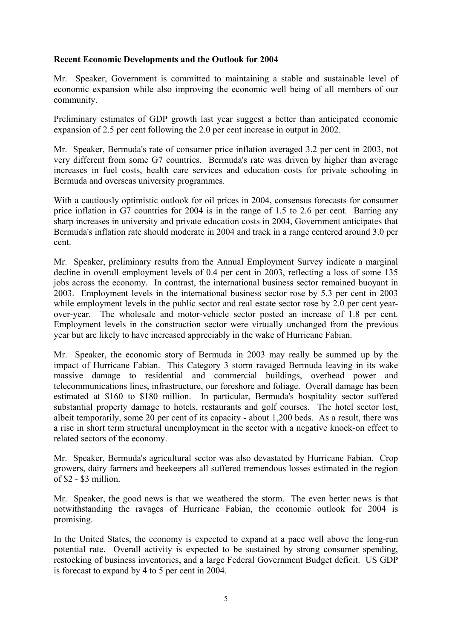### **Recent Economic Developments and the Outlook for 2004**

Mr. Speaker, Government is committed to maintaining a stable and sustainable level of economic expansion while also improving the economic well being of all members of our community.

Preliminary estimates of GDP growth last year suggest a better than anticipated economic expansion of 2.5 per cent following the 2.0 per cent increase in output in 2002.

Mr. Speaker, Bermuda's rate of consumer price inflation averaged 3.2 per cent in 2003, not very different from some G7 countries. Bermuda's rate was driven by higher than average increases in fuel costs, health care services and education costs for private schooling in Bermuda and overseas university programmes.

With a cautiously optimistic outlook for oil prices in 2004, consensus forecasts for consumer price inflation in G7 countries for 2004 is in the range of 1.5 to 2.6 per cent. Barring any sharp increases in university and private education costs in 2004, Government anticipates that Bermuda's inflation rate should moderate in 2004 and track in a range centered around 3.0 per cent.

Mr. Speaker, preliminary results from the Annual Employment Survey indicate a marginal decline in overall employment levels of 0.4 per cent in 2003, reflecting a loss of some 135 jobs across the economy. In contrast, the international business sector remained buoyant in 2003. Employment levels in the international business sector rose by 5.3 per cent in 2003 while employment levels in the public sector and real estate sector rose by 2.0 per cent yearover-year. The wholesale and motor-vehicle sector posted an increase of 1.8 per cent. Employment levels in the construction sector were virtually unchanged from the previous year but are likely to have increased appreciably in the wake of Hurricane Fabian.

Mr. Speaker, the economic story of Bermuda in 2003 may really be summed up by the impact of Hurricane Fabian. This Category 3 storm ravaged Bermuda leaving in its wake massive damage to residential and commercial buildings, overhead power and telecommunications lines, infrastructure, our foreshore and foliage. Overall damage has been estimated at \$160 to \$180 million. In particular, Bermuda's hospitality sector suffered substantial property damage to hotels, restaurants and golf courses. The hotel sector lost, albeit temporarily, some 20 per cent of its capacity - about 1,200 beds. As a result, there was a rise in short term structural unemployment in the sector with a negative knock-on effect to related sectors of the economy.

Mr. Speaker, Bermuda's agricultural sector was also devastated by Hurricane Fabian. Crop growers, dairy farmers and beekeepers all suffered tremendous losses estimated in the region of \$2 - \$3 million.

Mr. Speaker, the good news is that we weathered the storm. The even better news is that notwithstanding the ravages of Hurricane Fabian, the economic outlook for 2004 is promising.

In the United States, the economy is expected to expand at a pace well above the long-run potential rate. Overall activity is expected to be sustained by strong consumer spending, restocking of business inventories, and a large Federal Government Budget deficit. US GDP is forecast to expand by 4 to 5 per cent in 2004.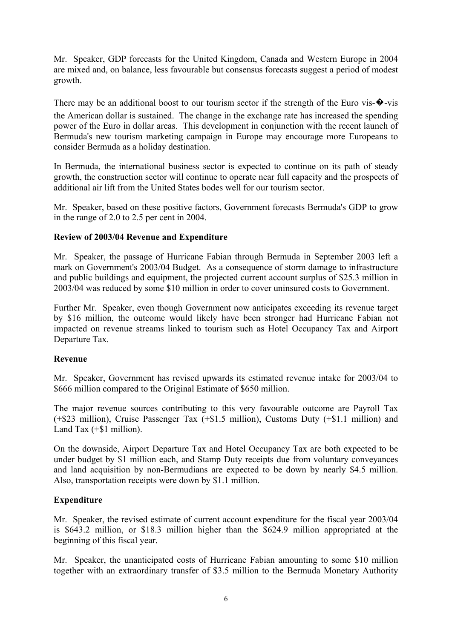Mr. Speaker, GDP forecasts for the United Kingdom, Canada and Western Europe in 2004 are mixed and, on balance, less favourable but consensus forecasts suggest a period of modest growth.

There may be an additional boost to our tourism sector if the strength of the Euro vis- $\bullet$ -vis the American dollar is sustained. The change in the exchange rate has increased the spending power of the Euro in dollar areas. This development in conjunction with the recent launch of Bermuda's new tourism marketing campaign in Europe may encourage more Europeans to consider Bermuda as a holiday destination.

In Bermuda, the international business sector is expected to continue on its path of steady growth, the construction sector will continue to operate near full capacity and the prospects of additional air lift from the United States bodes well for our tourism sector.

Mr. Speaker, based on these positive factors, Government forecasts Bermuda's GDP to grow in the range of 2.0 to 2.5 per cent in 2004.

## **Review of 2003/04 Revenue and Expenditure**

Mr. Speaker, the passage of Hurricane Fabian through Bermuda in September 2003 left a mark on Government's 2003/04 Budget. As a consequence of storm damage to infrastructure and public buildings and equipment, the projected current account surplus of \$25.3 million in 2003/04 was reduced by some \$10 million in order to cover uninsured costs to Government.

Further Mr. Speaker, even though Government now anticipates exceeding its revenue target by \$16 million, the outcome would likely have been stronger had Hurricane Fabian not impacted on revenue streams linked to tourism such as Hotel Occupancy Tax and Airport Departure Tax.

## **Revenue**

Mr. Speaker, Government has revised upwards its estimated revenue intake for 2003/04 to \$666 million compared to the Original Estimate of \$650 million.

The major revenue sources contributing to this very favourable outcome are Payroll Tax (+\$23 million), Cruise Passenger Tax (+\$1.5 million), Customs Duty (+\$1.1 million) and Land Tax  $(+\$1$  million).

On the downside, Airport Departure Tax and Hotel Occupancy Tax are both expected to be under budget by \$1 million each, and Stamp Duty receipts due from voluntary conveyances and land acquisition by non-Bermudians are expected to be down by nearly \$4.5 million. Also, transportation receipts were down by \$1.1 million.

## **Expenditure**

Mr. Speaker, the revised estimate of current account expenditure for the fiscal year 2003/04 is \$643.2 million, or \$18.3 million higher than the \$624.9 million appropriated at the beginning of this fiscal year.

Mr. Speaker, the unanticipated costs of Hurricane Fabian amounting to some \$10 million together with an extraordinary transfer of \$3.5 million to the Bermuda Monetary Authority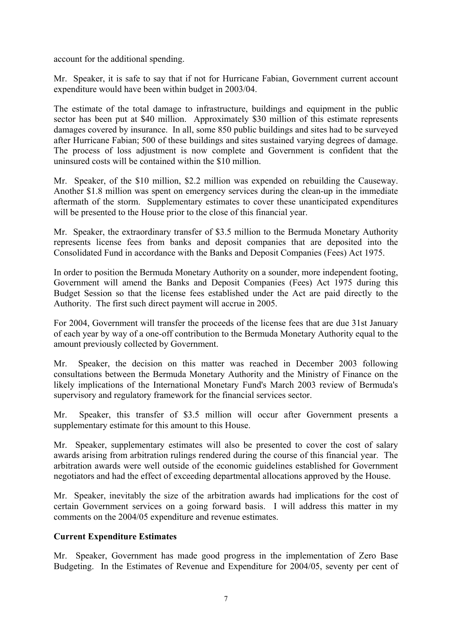account for the additional spending.

Mr. Speaker, it is safe to say that if not for Hurricane Fabian, Government current account expenditure would have been within budget in 2003/04.

The estimate of the total damage to infrastructure, buildings and equipment in the public sector has been put at \$40 million. Approximately \$30 million of this estimate represents damages covered by insurance. In all, some 850 public buildings and sites had to be surveyed after Hurricane Fabian; 500 of these buildings and sites sustained varying degrees of damage. The process of loss adjustment is now complete and Government is confident that the uninsured costs will be contained within the \$10 million.

Mr. Speaker, of the \$10 million, \$2.2 million was expended on rebuilding the Causeway. Another \$1.8 million was spent on emergency services during the clean-up in the immediate aftermath of the storm. Supplementary estimates to cover these unanticipated expenditures will be presented to the House prior to the close of this financial year.

Mr. Speaker, the extraordinary transfer of \$3.5 million to the Bermuda Monetary Authority represents license fees from banks and deposit companies that are deposited into the Consolidated Fund in accordance with the Banks and Deposit Companies (Fees) Act 1975.

In order to position the Bermuda Monetary Authority on a sounder, more independent footing, Government will amend the Banks and Deposit Companies (Fees) Act 1975 during this Budget Session so that the license fees established under the Act are paid directly to the Authority. The first such direct payment will accrue in 2005.

For 2004, Government will transfer the proceeds of the license fees that are due 31st January of each year by way of a one-off contribution to the Bermuda Monetary Authority equal to the amount previously collected by Government.

Mr. Speaker, the decision on this matter was reached in December 2003 following consultations between the Bermuda Monetary Authority and the Ministry of Finance on the likely implications of the International Monetary Fund's March 2003 review of Bermuda's supervisory and regulatory framework for the financial services sector.

Mr. Speaker, this transfer of \$3.5 million will occur after Government presents a supplementary estimate for this amount to this House.

Mr. Speaker, supplementary estimates will also be presented to cover the cost of salary awards arising from arbitration rulings rendered during the course of this financial year. The arbitration awards were well outside of the economic guidelines established for Government negotiators and had the effect of exceeding departmental allocations approved by the House.

Mr. Speaker, inevitably the size of the arbitration awards had implications for the cost of certain Government services on a going forward basis. I will address this matter in my comments on the 2004/05 expenditure and revenue estimates.

## **Current Expenditure Estimates**

Mr. Speaker, Government has made good progress in the implementation of Zero Base Budgeting. In the Estimates of Revenue and Expenditure for 2004/05, seventy per cent of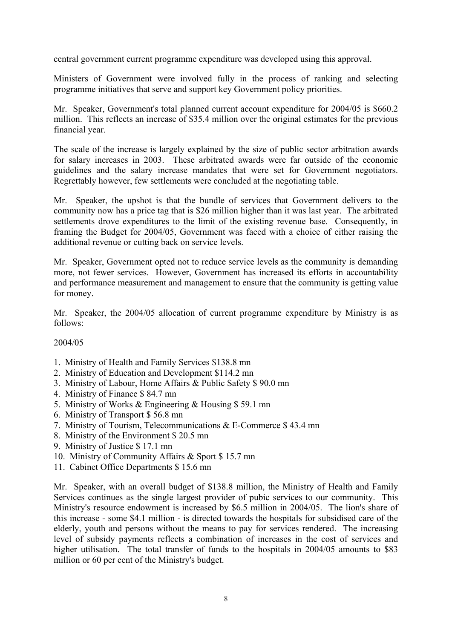central government current programme expenditure was developed using this approval.

Ministers of Government were involved fully in the process of ranking and selecting programme initiatives that serve and support key Government policy priorities.

Mr. Speaker, Government's total planned current account expenditure for 2004/05 is \$660.2 million. This reflects an increase of \$35.4 million over the original estimates for the previous financial year.

The scale of the increase is largely explained by the size of public sector arbitration awards for salary increases in 2003. These arbitrated awards were far outside of the economic guidelines and the salary increase mandates that were set for Government negotiators. Regrettably however, few settlements were concluded at the negotiating table.

Mr. Speaker, the upshot is that the bundle of services that Government delivers to the community now has a price tag that is \$26 million higher than it was last year. The arbitrated settlements drove expenditures to the limit of the existing revenue base. Consequently, in framing the Budget for 2004/05, Government was faced with a choice of either raising the additional revenue or cutting back on service levels.

Mr. Speaker, Government opted not to reduce service levels as the community is demanding more, not fewer services. However, Government has increased its efforts in accountability and performance measurement and management to ensure that the community is getting value for money.

Mr. Speaker, the 2004/05 allocation of current programme expenditure by Ministry is as follows:

#### 2004/05

- 1. Ministry of Health and Family Services \$138.8 mn
- 2. Ministry of Education and Development \$114.2 mn
- 3. Ministry of Labour, Home Affairs & Public Safety \$ 90.0 mn
- 4. Ministry of Finance \$ 84.7 mn
- 5. Ministry of Works & Engineering & Housing \$ 59.1 mn
- 6. Ministry of Transport \$ 56.8 mn
- 7. Ministry of Tourism, Telecommunications & E-Commerce \$ 43.4 mn
- 8. Ministry of the Environment \$ 20.5 mn
- 9. Ministry of Justice \$ 17.1 mn
- 10. Ministry of Community Affairs & Sport \$ 15.7 mn
- 11. Cabinet Office Departments \$ 15.6 mn

Mr. Speaker, with an overall budget of \$138.8 million, the Ministry of Health and Family Services continues as the single largest provider of pubic services to our community. This Ministry's resource endowment is increased by \$6.5 million in 2004/05. The lion's share of this increase - some \$4.1 million - is directed towards the hospitals for subsidised care of the elderly, youth and persons without the means to pay for services rendered. The increasing level of subsidy payments reflects a combination of increases in the cost of services and higher utilisation. The total transfer of funds to the hospitals in 2004/05 amounts to \$83 million or 60 per cent of the Ministry's budget.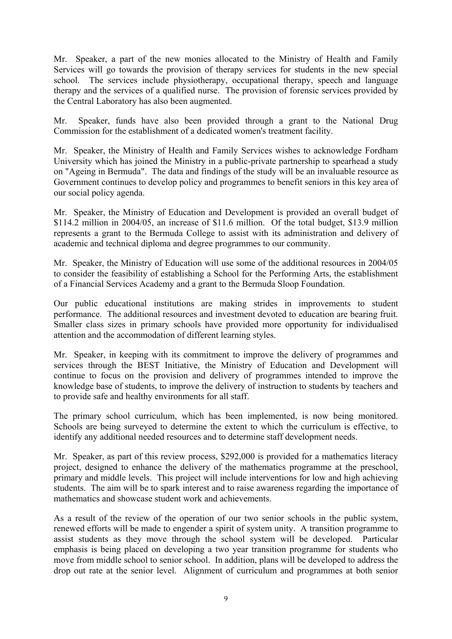Mr. Speaker, a part of the new monies allocated to the Ministry of Health and Family Services will go towards the provision of therapy services for students in the new special school. The services include physiotherapy, occupational therapy, speech and language therapy and the services of a qualified nurse. The provision of forensic services provided by the Central Laboratory has also been augmented.

Mr. Speaker, funds have also been provided through a grant to the National Drug Commission for the establishment of a dedicated women's treatment facility.

Mr. Speaker, the Ministry of Health and Family Services wishes to acknowledge Fordham University which has joined the Ministry in a public-private partnership to spearhead a study on "Ageing in Bermuda". The data and findings of the study will be an invaluable resource as Government continues to develop policy and programmes to benefit seniors in this key area of our social policy agenda.

Mr. Speaker, the Ministry of Education and Development is provided an overall budget of \$114.2 million in 2004/05, an increase of \$11.6 million. Of the total budget, \$13.9 million represents a grant to the Bermuda College to assist with its administration and delivery of academic and technical diploma and degree programmes to our community.

Mr. Speaker, the Ministry of Education will use some of the additional resources in 2004/05 to consider the feasibility of establishing a School for the Performing Arts, the establishment of a Financial Services Academy and a grant to the Bermuda Sloop Foundation.

Our public educational institutions are making strides in improvements to student performance. The additional resources and investment devoted to education are bearing fruit. Smaller class sizes in primary schools have provided more opportunity for individualised attention and the accommodation of different learning styles.

Mr. Speaker, in keeping with its commitment to improve the delivery of programmes and services through the BEST Initiative, the Ministry of Education and Development will continue to focus on the provision and delivery of programmes intended to improve the knowledge base of students, to improve the delivery of instruction to students by teachers and to provide safe and healthy environments for all staff.

The primary school curriculum, which has been implemented, is now being monitored. Schools are being surveyed to determine the extent to which the curriculum is effective, to identify any additional needed resources and to determine staff development needs.

Mr. Speaker, as part of this review process, \$292,000 is provided for a mathematics literacy project, designed to enhance the delivery of the mathematics programme at the preschool, primary and middle levels. This project will include interventions for low and high achieving students. The aim will be to spark interest and to raise awareness regarding the importance of mathematics and showcase student work and achievements.

As a result of the review of the operation of our two senior schools in the public system, renewed efforts will be made to engender a spirit of system unity. A transition programme to assist students as they move through the school system will be developed. Particular emphasis is being placed on developing a two year transition programme for students who move from middle school to senior school. In addition, plans will be developed to address the drop out rate at the senior level. Alignment of curriculum and programmes at both senior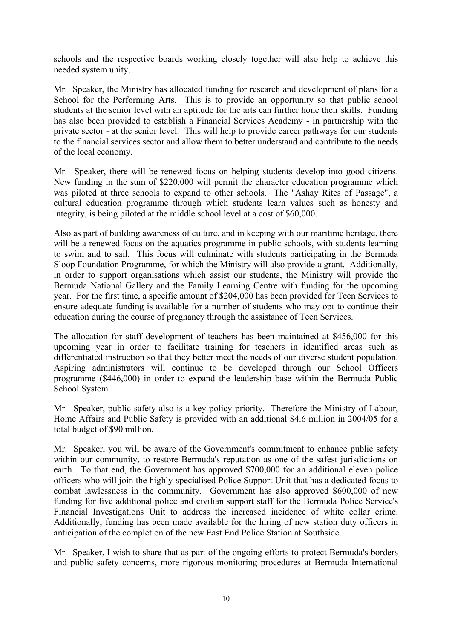schools and the respective boards working closely together will also help to achieve this needed system unity.

Mr. Speaker, the Ministry has allocated funding for research and development of plans for a School for the Performing Arts. This is to provide an opportunity so that public school students at the senior level with an aptitude for the arts can further hone their skills. Funding has also been provided to establish a Financial Services Academy - in partnership with the private sector - at the senior level. This will help to provide career pathways for our students to the financial services sector and allow them to better understand and contribute to the needs of the local economy.

Mr. Speaker, there will be renewed focus on helping students develop into good citizens. New funding in the sum of \$220,000 will permit the character education programme which was piloted at three schools to expand to other schools. The "Ashay Rites of Passage", a cultural education programme through which students learn values such as honesty and integrity, is being piloted at the middle school level at a cost of \$60,000.

Also as part of building awareness of culture, and in keeping with our maritime heritage, there will be a renewed focus on the aquatics programme in public schools, with students learning to swim and to sail. This focus will culminate with students participating in the Bermuda Sloop Foundation Programme, for which the Ministry will also provide a grant. Additionally, in order to support organisations which assist our students, the Ministry will provide the Bermuda National Gallery and the Family Learning Centre with funding for the upcoming year. For the first time, a specific amount of \$204,000 has been provided for Teen Services to ensure adequate funding is available for a number of students who may opt to continue their education during the course of pregnancy through the assistance of Teen Services.

The allocation for staff development of teachers has been maintained at \$456,000 for this upcoming year in order to facilitate training for teachers in identified areas such as differentiated instruction so that they better meet the needs of our diverse student population. Aspiring administrators will continue to be developed through our School Officers programme (\$446,000) in order to expand the leadership base within the Bermuda Public School System.

Mr. Speaker, public safety also is a key policy priority. Therefore the Ministry of Labour, Home Affairs and Public Safety is provided with an additional \$4.6 million in 2004/05 for a total budget of \$90 million.

Mr. Speaker, you will be aware of the Government's commitment to enhance public safety within our community, to restore Bermuda's reputation as one of the safest jurisdictions on earth. To that end, the Government has approved \$700,000 for an additional eleven police officers who will join the highly-specialised Police Support Unit that has a dedicated focus to combat lawlessness in the community. Government has also approved \$600,000 of new funding for five additional police and civilian support staff for the Bermuda Police Service's Financial Investigations Unit to address the increased incidence of white collar crime. Additionally, funding has been made available for the hiring of new station duty officers in anticipation of the completion of the new East End Police Station at Southside.

Mr. Speaker, I wish to share that as part of the ongoing efforts to protect Bermuda's borders and public safety concerns, more rigorous monitoring procedures at Bermuda International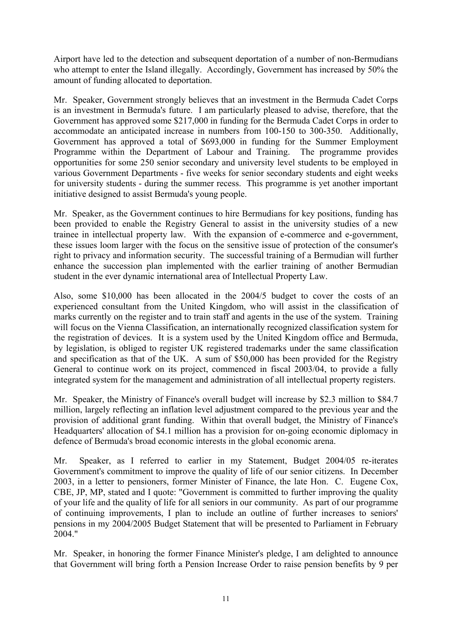Airport have led to the detection and subsequent deportation of a number of non-Bermudians who attempt to enter the Island illegally. Accordingly, Government has increased by 50% the amount of funding allocated to deportation.

Mr. Speaker, Government strongly believes that an investment in the Bermuda Cadet Corps is an investment in Bermuda's future. I am particularly pleased to advise, therefore, that the Government has approved some \$217,000 in funding for the Bermuda Cadet Corps in order to accommodate an anticipated increase in numbers from 100-150 to 300-350. Additionally, Government has approved a total of \$693,000 in funding for the Summer Employment Programme within the Department of Labour and Training. The programme provides opportunities for some 250 senior secondary and university level students to be employed in various Government Departments - five weeks for senior secondary students and eight weeks for university students - during the summer recess. This programme is yet another important initiative designed to assist Bermuda's young people.

Mr. Speaker, as the Government continues to hire Bermudians for key positions, funding has been provided to enable the Registry General to assist in the university studies of a new trainee in intellectual property law. With the expansion of e-commerce and e-government, these issues loom larger with the focus on the sensitive issue of protection of the consumer's right to privacy and information security. The successful training of a Bermudian will further enhance the succession plan implemented with the earlier training of another Bermudian student in the ever dynamic international area of Intellectual Property Law.

Also, some \$10,000 has been allocated in the 2004/5 budget to cover the costs of an experienced consultant from the United Kingdom, who will assist in the classification of marks currently on the register and to train staff and agents in the use of the system. Training will focus on the Vienna Classification, an internationally recognized classification system for the registration of devices. It is a system used by the United Kingdom office and Bermuda, by legislation, is obliged to register UK registered trademarks under the same classification and specification as that of the UK. A sum of \$50,000 has been provided for the Registry General to continue work on its project, commenced in fiscal 2003/04, to provide a fully integrated system for the management and administration of all intellectual property registers.

Mr. Speaker, the Ministry of Finance's overall budget will increase by \$2.3 million to \$84.7 million, largely reflecting an inflation level adjustment compared to the previous year and the provision of additional grant funding. Within that overall budget, the Ministry of Finance's Headquarters' allocation of \$4.1 million has a provision for on-going economic diplomacy in defence of Bermuda's broad economic interests in the global economic arena.

Mr. Speaker, as I referred to earlier in my Statement, Budget 2004/05 re-iterates Government's commitment to improve the quality of life of our senior citizens. In December 2003, in a letter to pensioners, former Minister of Finance, the late Hon. C. Eugene Cox, CBE, JP, MP, stated and I quote: "Government is committed to further improving the quality of your life and the quality of life for all seniors in our community. As part of our programme of continuing improvements, I plan to include an outline of further increases to seniors' pensions in my 2004/2005 Budget Statement that will be presented to Parliament in February 2004."

Mr. Speaker, in honoring the former Finance Minister's pledge, I am delighted to announce that Government will bring forth a Pension Increase Order to raise pension benefits by 9 per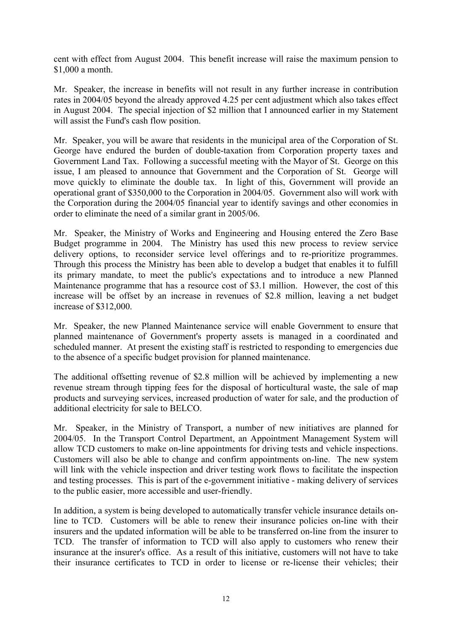cent with effect from August 2004. This benefit increase will raise the maximum pension to \$1,000 a month.

Mr. Speaker, the increase in benefits will not result in any further increase in contribution rates in 2004/05 beyond the already approved 4.25 per cent adjustment which also takes effect in August 2004. The special injection of \$2 million that I announced earlier in my Statement will assist the Fund's cash flow position.

Mr. Speaker, you will be aware that residents in the municipal area of the Corporation of St. George have endured the burden of double-taxation from Corporation property taxes and Government Land Tax. Following a successful meeting with the Mayor of St. George on this issue, I am pleased to announce that Government and the Corporation of St. George will move quickly to eliminate the double tax. In light of this, Government will provide an operational grant of \$350,000 to the Corporation in 2004/05. Government also will work with the Corporation during the 2004/05 financial year to identify savings and other economies in order to eliminate the need of a similar grant in 2005/06.

Mr. Speaker, the Ministry of Works and Engineering and Housing entered the Zero Base Budget programme in 2004. The Ministry has used this new process to review service delivery options, to reconsider service level offerings and to re-prioritize programmes. Through this process the Ministry has been able to develop a budget that enables it to fulfill its primary mandate, to meet the public's expectations and to introduce a new Planned Maintenance programme that has a resource cost of \$3.1 million. However, the cost of this increase will be offset by an increase in revenues of \$2.8 million, leaving a net budget increase of \$312,000.

Mr. Speaker, the new Planned Maintenance service will enable Government to ensure that planned maintenance of Government's property assets is managed in a coordinated and scheduled manner. At present the existing staff is restricted to responding to emergencies due to the absence of a specific budget provision for planned maintenance.

The additional offsetting revenue of \$2.8 million will be achieved by implementing a new revenue stream through tipping fees for the disposal of horticultural waste, the sale of map products and surveying services, increased production of water for sale, and the production of additional electricity for sale to BELCO.

Mr. Speaker, in the Ministry of Transport, a number of new initiatives are planned for 2004/05. In the Transport Control Department, an Appointment Management System will allow TCD customers to make on-line appointments for driving tests and vehicle inspections. Customers will also be able to change and confirm appointments on-line. The new system will link with the vehicle inspection and driver testing work flows to facilitate the inspection and testing processes. This is part of the e-government initiative - making delivery of services to the public easier, more accessible and user-friendly.

In addition, a system is being developed to automatically transfer vehicle insurance details online to TCD. Customers will be able to renew their insurance policies on-line with their insurers and the updated information will be able to be transferred on-line from the insurer to TCD. The transfer of information to TCD will also apply to customers who renew their insurance at the insurer's office. As a result of this initiative, customers will not have to take their insurance certificates to TCD in order to license or re-license their vehicles; their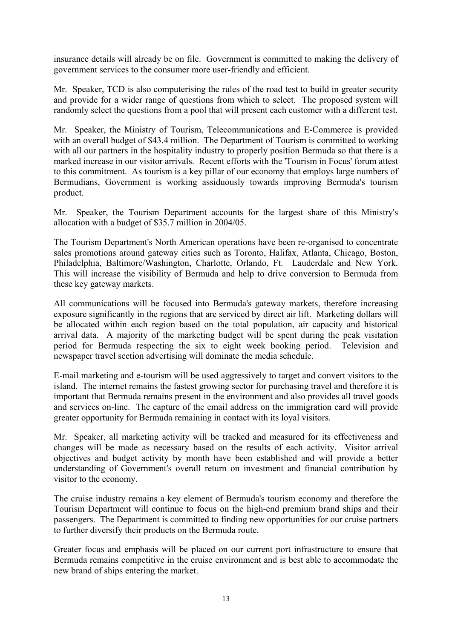insurance details will already be on file. Government is committed to making the delivery of government services to the consumer more user-friendly and efficient.

Mr. Speaker, TCD is also computerising the rules of the road test to build in greater security and provide for a wider range of questions from which to select. The proposed system will randomly select the questions from a pool that will present each customer with a different test.

Mr. Speaker, the Ministry of Tourism, Telecommunications and E-Commerce is provided with an overall budget of \$43.4 million. The Department of Tourism is committed to working with all our partners in the hospitality industry to properly position Bermuda so that there is a marked increase in our visitor arrivals. Recent efforts with the 'Tourism in Focus' forum attest to this commitment. As tourism is a key pillar of our economy that employs large numbers of Bermudians, Government is working assiduously towards improving Bermuda's tourism product.

Mr. Speaker, the Tourism Department accounts for the largest share of this Ministry's allocation with a budget of \$35.7 million in 2004/05.

The Tourism Department's North American operations have been re-organised to concentrate sales promotions around gateway cities such as Toronto, Halifax, Atlanta, Chicago, Boston, Philadelphia, Baltimore/Washington, Charlotte, Orlando, Ft. Lauderdale and New York. This will increase the visibility of Bermuda and help to drive conversion to Bermuda from these key gateway markets.

All communications will be focused into Bermuda's gateway markets, therefore increasing exposure significantly in the regions that are serviced by direct air lift. Marketing dollars will be allocated within each region based on the total population, air capacity and historical arrival data. A majority of the marketing budget will be spent during the peak visitation period for Bermuda respecting the six to eight week booking period. Television and newspaper travel section advertising will dominate the media schedule.

E-mail marketing and e-tourism will be used aggressively to target and convert visitors to the island. The internet remains the fastest growing sector for purchasing travel and therefore it is important that Bermuda remains present in the environment and also provides all travel goods and services on-line. The capture of the email address on the immigration card will provide greater opportunity for Bermuda remaining in contact with its loyal visitors.

Mr. Speaker, all marketing activity will be tracked and measured for its effectiveness and changes will be made as necessary based on the results of each activity. Visitor arrival objectives and budget activity by month have been established and will provide a better understanding of Government's overall return on investment and financial contribution by visitor to the economy.

The cruise industry remains a key element of Bermuda's tourism economy and therefore the Tourism Department will continue to focus on the high-end premium brand ships and their passengers. The Department is committed to finding new opportunities for our cruise partners to further diversify their products on the Bermuda route.

Greater focus and emphasis will be placed on our current port infrastructure to ensure that Bermuda remains competitive in the cruise environment and is best able to accommodate the new brand of ships entering the market.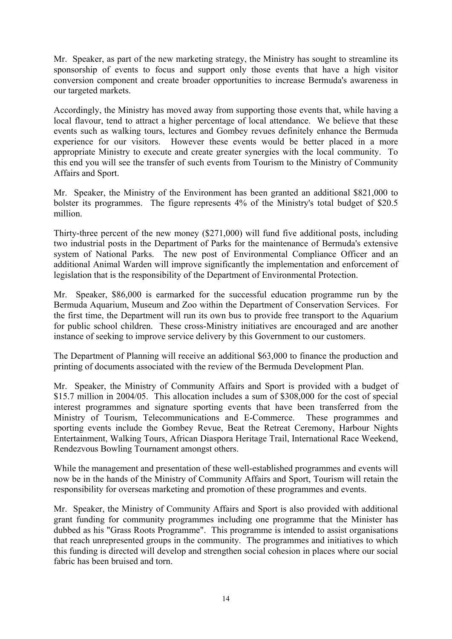Mr. Speaker, as part of the new marketing strategy, the Ministry has sought to streamline its sponsorship of events to focus and support only those events that have a high visitor conversion component and create broader opportunities to increase Bermuda's awareness in our targeted markets.

Accordingly, the Ministry has moved away from supporting those events that, while having a local flavour, tend to attract a higher percentage of local attendance. We believe that these events such as walking tours, lectures and Gombey revues definitely enhance the Bermuda experience for our visitors. However these events would be better placed in a more appropriate Ministry to execute and create greater synergies with the local community. To this end you will see the transfer of such events from Tourism to the Ministry of Community Affairs and Sport.

Mr. Speaker, the Ministry of the Environment has been granted an additional \$821,000 to bolster its programmes. The figure represents 4% of the Ministry's total budget of \$20.5 million.

Thirty-three percent of the new money (\$271,000) will fund five additional posts, including two industrial posts in the Department of Parks for the maintenance of Bermuda's extensive system of National Parks. The new post of Environmental Compliance Officer and an additional Animal Warden will improve significantly the implementation and enforcement of legislation that is the responsibility of the Department of Environmental Protection.

Mr. Speaker, \$86,000 is earmarked for the successful education programme run by the Bermuda Aquarium, Museum and Zoo within the Department of Conservation Services. For the first time, the Department will run its own bus to provide free transport to the Aquarium for public school children. These cross-Ministry initiatives are encouraged and are another instance of seeking to improve service delivery by this Government to our customers.

The Department of Planning will receive an additional \$63,000 to finance the production and printing of documents associated with the review of the Bermuda Development Plan.

Mr. Speaker, the Ministry of Community Affairs and Sport is provided with a budget of \$15.7 million in 2004/05. This allocation includes a sum of \$308,000 for the cost of special interest programmes and signature sporting events that have been transferred from the Ministry of Tourism, Telecommunications and E-Commerce. These programmes and sporting events include the Gombey Revue, Beat the Retreat Ceremony, Harbour Nights Entertainment, Walking Tours, African Diaspora Heritage Trail, International Race Weekend, Rendezvous Bowling Tournament amongst others.

While the management and presentation of these well-established programmes and events will now be in the hands of the Ministry of Community Affairs and Sport, Tourism will retain the responsibility for overseas marketing and promotion of these programmes and events.

Mr. Speaker, the Ministry of Community Affairs and Sport is also provided with additional grant funding for community programmes including one programme that the Minister has dubbed as his "Grass Roots Programme". This programme is intended to assist organisations that reach unrepresented groups in the community. The programmes and initiatives to which this funding is directed will develop and strengthen social cohesion in places where our social fabric has been bruised and torn.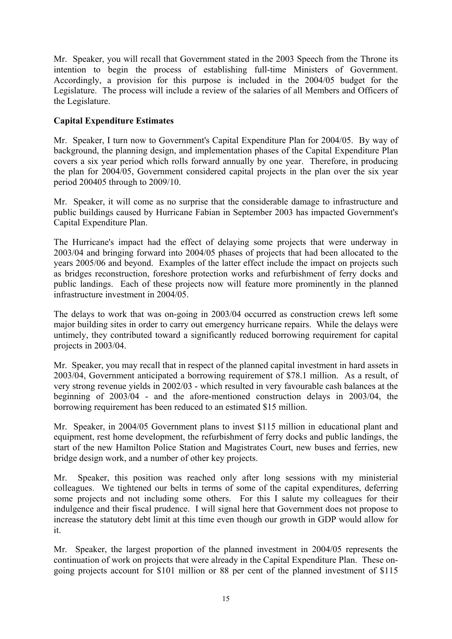Mr. Speaker, you will recall that Government stated in the 2003 Speech from the Throne its intention to begin the process of establishing full-time Ministers of Government. Accordingly, a provision for this purpose is included in the 2004/05 budget for the Legislature. The process will include a review of the salaries of all Members and Officers of the Legislature.

## **Capital Expenditure Estimates**

Mr. Speaker, I turn now to Government's Capital Expenditure Plan for 2004/05. By way of background, the planning design, and implementation phases of the Capital Expenditure Plan covers a six year period which rolls forward annually by one year. Therefore, in producing the plan for 2004/05, Government considered capital projects in the plan over the six year period 200405 through to 2009/10.

Mr. Speaker, it will come as no surprise that the considerable damage to infrastructure and public buildings caused by Hurricane Fabian in September 2003 has impacted Government's Capital Expenditure Plan.

The Hurricane's impact had the effect of delaying some projects that were underway in 2003/04 and bringing forward into 2004/05 phases of projects that had been allocated to the years 2005/06 and beyond. Examples of the latter effect include the impact on projects such as bridges reconstruction, foreshore protection works and refurbishment of ferry docks and public landings. Each of these projects now will feature more prominently in the planned infrastructure investment in 2004/05.

The delays to work that was on-going in 2003/04 occurred as construction crews left some major building sites in order to carry out emergency hurricane repairs. While the delays were untimely, they contributed toward a significantly reduced borrowing requirement for capital projects in 2003/04.

Mr. Speaker, you may recall that in respect of the planned capital investment in hard assets in 2003/04, Government anticipated a borrowing requirement of \$78.1 million. As a result, of very strong revenue yields in 2002/03 - which resulted in very favourable cash balances at the beginning of 2003/04 - and the afore-mentioned construction delays in 2003/04, the borrowing requirement has been reduced to an estimated \$15 million.

Mr. Speaker, in 2004/05 Government plans to invest \$115 million in educational plant and equipment, rest home development, the refurbishment of ferry docks and public landings, the start of the new Hamilton Police Station and Magistrates Court, new buses and ferries, new bridge design work, and a number of other key projects.

Mr. Speaker, this position was reached only after long sessions with my ministerial colleagues. We tightened our belts in terms of some of the capital expenditures, deferring some projects and not including some others. For this I salute my colleagues for their indulgence and their fiscal prudence. I will signal here that Government does not propose to increase the statutory debt limit at this time even though our growth in GDP would allow for it.

Mr. Speaker, the largest proportion of the planned investment in 2004/05 represents the continuation of work on projects that were already in the Capital Expenditure Plan. These ongoing projects account for \$101 million or 88 per cent of the planned investment of \$115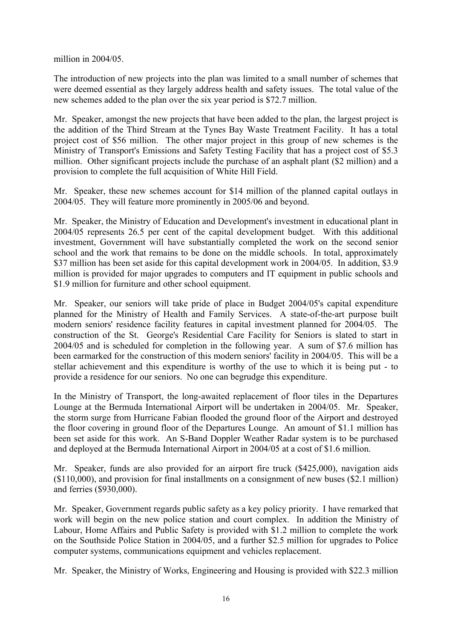million in 2004/05.

The introduction of new projects into the plan was limited to a small number of schemes that were deemed essential as they largely address health and safety issues. The total value of the new schemes added to the plan over the six year period is \$72.7 million.

Mr. Speaker, amongst the new projects that have been added to the plan, the largest project is the addition of the Third Stream at the Tynes Bay Waste Treatment Facility. It has a total project cost of \$56 million. The other major project in this group of new schemes is the Ministry of Transport's Emissions and Safety Testing Facility that has a project cost of \$5.3 million. Other significant projects include the purchase of an asphalt plant (\$2 million) and a provision to complete the full acquisition of White Hill Field.

Mr. Speaker, these new schemes account for \$14 million of the planned capital outlays in 2004/05. They will feature more prominently in 2005/06 and beyond.

Mr. Speaker, the Ministry of Education and Development's investment in educational plant in 2004/05 represents 26.5 per cent of the capital development budget. With this additional investment, Government will have substantially completed the work on the second senior school and the work that remains to be done on the middle schools. In total, approximately \$37 million has been set aside for this capital development work in 2004/05. In addition, \$3.9 million is provided for major upgrades to computers and IT equipment in public schools and \$1.9 million for furniture and other school equipment.

Mr. Speaker, our seniors will take pride of place in Budget 2004/05's capital expenditure planned for the Ministry of Health and Family Services. A state-of-the-art purpose built modern seniors' residence facility features in capital investment planned for 2004/05. The construction of the St. George's Residential Care Facility for Seniors is slated to start in 2004/05 and is scheduled for completion in the following year. A sum of \$7.6 million has been earmarked for the construction of this modern seniors' facility in 2004/05. This will be a stellar achievement and this expenditure is worthy of the use to which it is being put - to provide a residence for our seniors. No one can begrudge this expenditure.

In the Ministry of Transport, the long-awaited replacement of floor tiles in the Departures Lounge at the Bermuda International Airport will be undertaken in 2004/05. Mr. Speaker, the storm surge from Hurricane Fabian flooded the ground floor of the Airport and destroyed the floor covering in ground floor of the Departures Lounge. An amount of \$1.1 million has been set aside for this work. An S-Band Doppler Weather Radar system is to be purchased and deployed at the Bermuda International Airport in 2004/05 at a cost of \$1.6 million.

Mr. Speaker, funds are also provided for an airport fire truck (\$425,000), navigation aids (\$110,000), and provision for final installments on a consignment of new buses (\$2.1 million) and ferries (\$930,000).

Mr. Speaker, Government regards public safety as a key policy priority. I have remarked that work will begin on the new police station and court complex. In addition the Ministry of Labour, Home Affairs and Public Safety is provided with \$1.2 million to complete the work on the Southside Police Station in 2004/05, and a further \$2.5 million for upgrades to Police computer systems, communications equipment and vehicles replacement.

Mr. Speaker, the Ministry of Works, Engineering and Housing is provided with \$22.3 million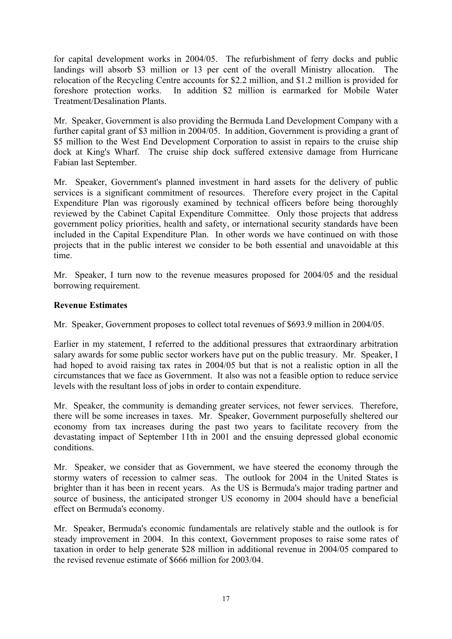for capital development works in 2004/05. The refurbishment of ferry docks and public landings will absorb \$3 million or 13 per cent of the overall Ministry allocation. The relocation of the Recycling Centre accounts for \$2.2 million, and \$1.2 million is provided for foreshore protection works. In addition \$2 million is earmarked for Mobile Water Treatment/Desalination Plants.

Mr. Speaker, Government is also providing the Bermuda Land Development Company with a further capital grant of \$3 million in 2004/05. In addition, Government is providing a grant of \$5 million to the West End Development Corporation to assist in repairs to the cruise ship dock at King's Wharf. The cruise ship dock suffered extensive damage from Hurricane Fabian last September.

Mr. Speaker, Government's planned investment in hard assets for the delivery of public services is a significant commitment of resources. Therefore every project in the Capital Expenditure Plan was rigorously examined by technical officers before being thoroughly reviewed by the Cabinet Capital Expenditure Committee. Only those projects that address government policy priorities, health and safety, or international security standards have been included in the Capital Expenditure Plan. In other words we have continued on with those projects that in the public interest we consider to be both essential and unavoidable at this time.

Mr. Speaker, I turn now to the revenue measures proposed for 2004/05 and the residual borrowing requirement.

## **Revenue Estimates**

Mr. Speaker, Government proposes to collect total revenues of \$693.9 million in 2004/05.

Earlier in my statement, I referred to the additional pressures that extraordinary arbitration salary awards for some public sector workers have put on the public treasury. Mr. Speaker, I had hoped to avoid raising tax rates in 2004/05 but that is not a realistic option in all the circumstances that we face as Government. It also was not a feasible option to reduce service levels with the resultant loss of jobs in order to contain expenditure.

Mr. Speaker, the community is demanding greater services, not fewer services. Therefore, there will be some increases in taxes. Mr. Speaker, Government purposefully sheltered our economy from tax increases during the past two years to facilitate recovery from the devastating impact of September 11th in 2001 and the ensuing depressed global economic conditions.

Mr. Speaker, we consider that as Government, we have steered the economy through the stormy waters of recession to calmer seas. The outlook for 2004 in the United States is brighter than it has been in recent years. As the US is Bermuda's major trading partner and source of business, the anticipated stronger US economy in 2004 should have a beneficial effect on Bermuda's economy.

Mr. Speaker, Bermuda's economic fundamentals are relatively stable and the outlook is for steady improvement in 2004. In this context, Government proposes to raise some rates of taxation in order to help generate \$28 million in additional revenue in 2004/05 compared to the revised revenue estimate of \$666 million for 2003/04.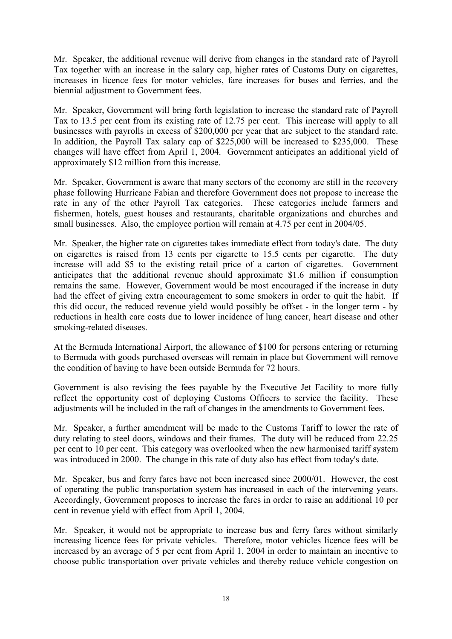Mr. Speaker, the additional revenue will derive from changes in the standard rate of Payroll Tax together with an increase in the salary cap, higher rates of Customs Duty on cigarettes, increases in licence fees for motor vehicles, fare increases for buses and ferries, and the biennial adjustment to Government fees.

Mr. Speaker, Government will bring forth legislation to increase the standard rate of Payroll Tax to 13.5 per cent from its existing rate of 12.75 per cent. This increase will apply to all businesses with payrolls in excess of \$200,000 per year that are subject to the standard rate. In addition, the Payroll Tax salary cap of \$225,000 will be increased to \$235,000. These changes will have effect from April 1, 2004. Government anticipates an additional yield of approximately \$12 million from this increase.

Mr. Speaker, Government is aware that many sectors of the economy are still in the recovery phase following Hurricane Fabian and therefore Government does not propose to increase the rate in any of the other Payroll Tax categories. These categories include farmers and fishermen, hotels, guest houses and restaurants, charitable organizations and churches and small businesses. Also, the employee portion will remain at 4.75 per cent in 2004/05.

Mr. Speaker, the higher rate on cigarettes takes immediate effect from today's date. The duty on cigarettes is raised from 13 cents per cigarette to 15.5 cents per cigarette. The duty increase will add \$5 to the existing retail price of a carton of cigarettes. Government anticipates that the additional revenue should approximate \$1.6 million if consumption remains the same. However, Government would be most encouraged if the increase in duty had the effect of giving extra encouragement to some smokers in order to quit the habit. If this did occur, the reduced revenue yield would possibly be offset - in the longer term - by reductions in health care costs due to lower incidence of lung cancer, heart disease and other smoking-related diseases.

At the Bermuda International Airport, the allowance of \$100 for persons entering or returning to Bermuda with goods purchased overseas will remain in place but Government will remove the condition of having to have been outside Bermuda for 72 hours.

Government is also revising the fees payable by the Executive Jet Facility to more fully reflect the opportunity cost of deploying Customs Officers to service the facility. These adjustments will be included in the raft of changes in the amendments to Government fees.

Mr. Speaker, a further amendment will be made to the Customs Tariff to lower the rate of duty relating to steel doors, windows and their frames. The duty will be reduced from 22.25 per cent to 10 per cent. This category was overlooked when the new harmonised tariff system was introduced in 2000. The change in this rate of duty also has effect from today's date.

Mr. Speaker, bus and ferry fares have not been increased since 2000/01. However, the cost of operating the public transportation system has increased in each of the intervening years. Accordingly, Government proposes to increase the fares in order to raise an additional 10 per cent in revenue yield with effect from April 1, 2004.

Mr. Speaker, it would not be appropriate to increase bus and ferry fares without similarly increasing licence fees for private vehicles. Therefore, motor vehicles licence fees will be increased by an average of 5 per cent from April 1, 2004 in order to maintain an incentive to choose public transportation over private vehicles and thereby reduce vehicle congestion on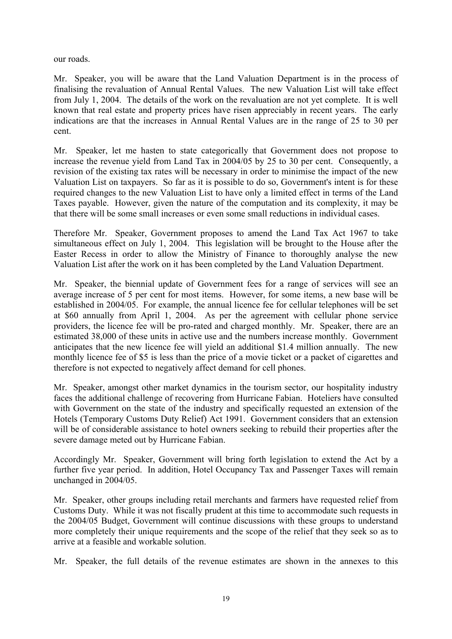our roads.

Mr. Speaker, you will be aware that the Land Valuation Department is in the process of finalising the revaluation of Annual Rental Values. The new Valuation List will take effect from July 1, 2004. The details of the work on the revaluation are not yet complete. It is well known that real estate and property prices have risen appreciably in recent years. The early indications are that the increases in Annual Rental Values are in the range of 25 to 30 per cent.

Mr. Speaker, let me hasten to state categorically that Government does not propose to increase the revenue yield from Land Tax in 2004/05 by 25 to 30 per cent. Consequently, a revision of the existing tax rates will be necessary in order to minimise the impact of the new Valuation List on taxpayers. So far as it is possible to do so, Government's intent is for these required changes to the new Valuation List to have only a limited effect in terms of the Land Taxes payable. However, given the nature of the computation and its complexity, it may be that there will be some small increases or even some small reductions in individual cases.

Therefore Mr. Speaker, Government proposes to amend the Land Tax Act 1967 to take simultaneous effect on July 1, 2004. This legislation will be brought to the House after the Easter Recess in order to allow the Ministry of Finance to thoroughly analyse the new Valuation List after the work on it has been completed by the Land Valuation Department.

Mr. Speaker, the biennial update of Government fees for a range of services will see an average increase of 5 per cent for most items. However, for some items, a new base will be established in 2004/05. For example, the annual licence fee for cellular telephones will be set at \$60 annually from April 1, 2004. As per the agreement with cellular phone service providers, the licence fee will be pro-rated and charged monthly. Mr. Speaker, there are an estimated 38,000 of these units in active use and the numbers increase monthly. Government anticipates that the new licence fee will yield an additional \$1.4 million annually. The new monthly licence fee of \$5 is less than the price of a movie ticket or a packet of cigarettes and therefore is not expected to negatively affect demand for cell phones.

Mr. Speaker, amongst other market dynamics in the tourism sector, our hospitality industry faces the additional challenge of recovering from Hurricane Fabian. Hoteliers have consulted with Government on the state of the industry and specifically requested an extension of the Hotels (Temporary Customs Duty Relief) Act 1991. Government considers that an extension will be of considerable assistance to hotel owners seeking to rebuild their properties after the severe damage meted out by Hurricane Fabian.

Accordingly Mr. Speaker, Government will bring forth legislation to extend the Act by a further five year period. In addition, Hotel Occupancy Tax and Passenger Taxes will remain unchanged in 2004/05.

Mr. Speaker, other groups including retail merchants and farmers have requested relief from Customs Duty. While it was not fiscally prudent at this time to accommodate such requests in the 2004/05 Budget, Government will continue discussions with these groups to understand more completely their unique requirements and the scope of the relief that they seek so as to arrive at a feasible and workable solution.

Mr. Speaker, the full details of the revenue estimates are shown in the annexes to this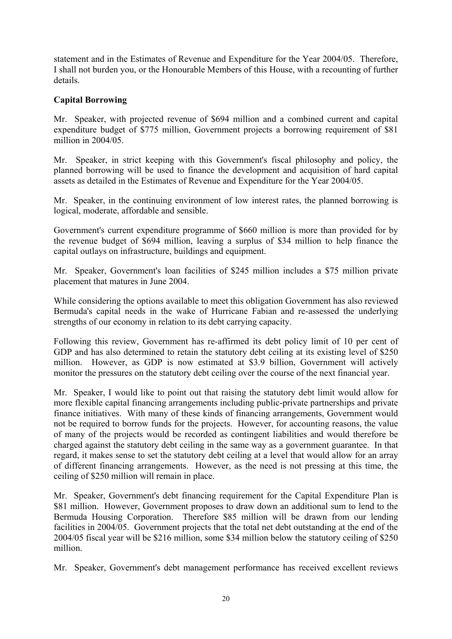statement and in the Estimates of Revenue and Expenditure for the Year 2004/05. Therefore, I shall not burden you, or the Honourable Members of this House, with a recounting of further details.

## **Capital Borrowing**

Mr. Speaker, with projected revenue of \$694 million and a combined current and capital expenditure budget of \$775 million, Government projects a borrowing requirement of \$81 million in 2004/05.

Mr. Speaker, in strict keeping with this Government's fiscal philosophy and policy, the planned borrowing will be used to finance the development and acquisition of hard capital assets as detailed in the Estimates of Revenue and Expenditure for the Year 2004/05.

Mr. Speaker, in the continuing environment of low interest rates, the planned borrowing is logical, moderate, affordable and sensible.

Government's current expenditure programme of \$660 million is more than provided for by the revenue budget of \$694 million, leaving a surplus of \$34 million to help finance the capital outlays on infrastructure, buildings and equipment.

Mr. Speaker, Government's loan facilities of \$245 million includes a \$75 million private placement that matures in June 2004.

While considering the options available to meet this obligation Government has also reviewed Bermuda's capital needs in the wake of Hurricane Fabian and re-assessed the underlying strengths of our economy in relation to its debt carrying capacity.

Following this review, Government has re-affirmed its debt policy limit of 10 per cent of GDP and has also determined to retain the statutory debt ceiling at its existing level of \$250 million. However, as GDP is now estimated at \$3.9 billion, Government will actively monitor the pressures on the statutory debt ceiling over the course of the next financial year.

Mr. Speaker, I would like to point out that raising the statutory debt limit would allow for more flexible capital financing arrangements including public-private partnerships and private finance initiatives. With many of these kinds of financing arrangements, Government would not be required to borrow funds for the projects. However, for accounting reasons, the value of many of the projects would be recorded as contingent liabilities and would therefore be charged against the statutory debt ceiling in the same way as a government guarantee. In that regard, it makes sense to set the statutory debt ceiling at a level that would allow for an array of different financing arrangements. However, as the need is not pressing at this time, the ceiling of \$250 million will remain in place.

Mr. Speaker, Government's debt financing requirement for the Capital Expenditure Plan is \$81 million. However, Government proposes to draw down an additional sum to lend to the Bermuda Housing Corporation. Therefore \$85 million will be drawn from our lending facilities in 2004/05. Government projects that the total net debt outstanding at the end of the 2004/05 fiscal year will be \$216 million, some \$34 million below the statutory ceiling of \$250 million.

Mr. Speaker, Government's debt management performance has received excellent reviews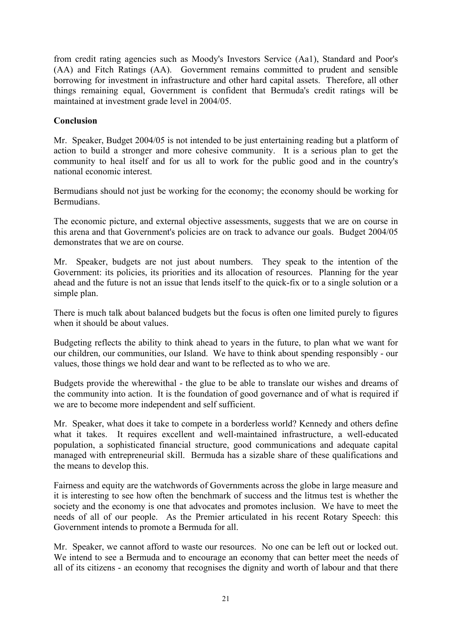from credit rating agencies such as Moody's Investors Service (Aa1), Standard and Poor's (AA) and Fitch Ratings (AA). Government remains committed to prudent and sensible borrowing for investment in infrastructure and other hard capital assets. Therefore, all other things remaining equal, Government is confident that Bermuda's credit ratings will be maintained at investment grade level in 2004/05.

### **Conclusion**

Mr. Speaker, Budget 2004/05 is not intended to be just entertaining reading but a platform of action to build a stronger and more cohesive community. It is a serious plan to get the community to heal itself and for us all to work for the public good and in the country's national economic interest.

Bermudians should not just be working for the economy; the economy should be working for Bermudians.

The economic picture, and external objective assessments, suggests that we are on course in this arena and that Government's policies are on track to advance our goals. Budget 2004/05 demonstrates that we are on course.

Mr. Speaker, budgets are not just about numbers. They speak to the intention of the Government: its policies, its priorities and its allocation of resources. Planning for the year ahead and the future is not an issue that lends itself to the quick-fix or to a single solution or a simple plan.

There is much talk about balanced budgets but the focus is often one limited purely to figures when it should be about values.

Budgeting reflects the ability to think ahead to years in the future, to plan what we want for our children, our communities, our Island. We have to think about spending responsibly - our values, those things we hold dear and want to be reflected as to who we are.

Budgets provide the wherewithal - the glue to be able to translate our wishes and dreams of the community into action. It is the foundation of good governance and of what is required if we are to become more independent and self sufficient.

Mr. Speaker, what does it take to compete in a borderless world? Kennedy and others define what it takes. It requires excellent and well-maintained infrastructure, a well-educated population, a sophisticated financial structure, good communications and adequate capital managed with entrepreneurial skill. Bermuda has a sizable share of these qualifications and the means to develop this.

Fairness and equity are the watchwords of Governments across the globe in large measure and it is interesting to see how often the benchmark of success and the litmus test is whether the society and the economy is one that advocates and promotes inclusion. We have to meet the needs of all of our people. As the Premier articulated in his recent Rotary Speech: this Government intends to promote a Bermuda for all.

Mr. Speaker, we cannot afford to waste our resources. No one can be left out or locked out. We intend to see a Bermuda and to encourage an economy that can better meet the needs of all of its citizens - an economy that recognises the dignity and worth of labour and that there